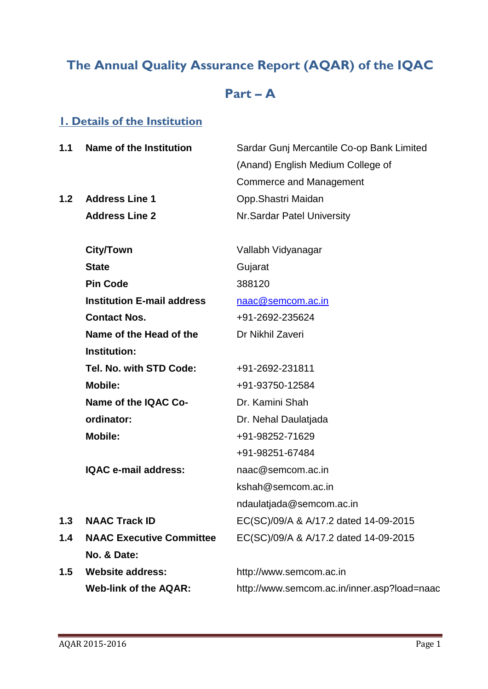# **The Annual Quality Assurance Report (AQAR) of the IQAC**

# **Part – A**

## **1. Details of the Institution**

| 1.1 | Name of the Institution           | Sardar Gunj Mercantile Co-op Bank Limited   |  |  |
|-----|-----------------------------------|---------------------------------------------|--|--|
|     |                                   | (Anand) English Medium College of           |  |  |
|     |                                   | Commerce and Management                     |  |  |
| 1.2 | <b>Address Line 1</b>             | Opp.Shastri Maidan                          |  |  |
|     | <b>Address Line 2</b>             | Nr. Sardar Patel University                 |  |  |
|     | <b>City/Town</b>                  | Vallabh Vidyanagar                          |  |  |
|     | <b>State</b>                      | Gujarat                                     |  |  |
|     | <b>Pin Code</b>                   | 388120                                      |  |  |
|     | <b>Institution E-mail address</b> | naac@semcom.ac.in                           |  |  |
|     | <b>Contact Nos.</b>               | +91-2692-235624                             |  |  |
|     | Name of the Head of the           | Dr Nikhil Zaveri                            |  |  |
|     | Institution:                      |                                             |  |  |
|     | Tel. No. with STD Code:           | +91-2692-231811                             |  |  |
|     | <b>Mobile:</b>                    | +91-93750-12584                             |  |  |
|     | Name of the IQAC Co-              | Dr. Kamini Shah                             |  |  |
|     | ordinator:                        | Dr. Nehal Daulatjada                        |  |  |
|     | <b>Mobile:</b>                    | +91-98252-71629                             |  |  |
|     |                                   | +91-98251-67484                             |  |  |
|     | IQAC e-mail address:              | naac@semcom.ac.in                           |  |  |
|     |                                   | kshah@semcom.ac.in                          |  |  |
|     |                                   | ndaulatjada@semcom.ac.in                    |  |  |
| 1.3 | <b>NAAC Track ID</b>              | EC(SC)/09/A & A/17.2 dated 14-09-2015       |  |  |
| 1.4 | <b>NAAC Executive Committee</b>   | EC(SC)/09/A & A/17.2 dated 14-09-2015       |  |  |
|     | No. & Date:                       |                                             |  |  |
| 1.5 | <b>Website address:</b>           | http://www.semcom.ac.in                     |  |  |
|     | <b>Web-link of the AQAR:</b>      | http://www.semcom.ac.in/inner.asp?load=naac |  |  |
|     |                                   |                                             |  |  |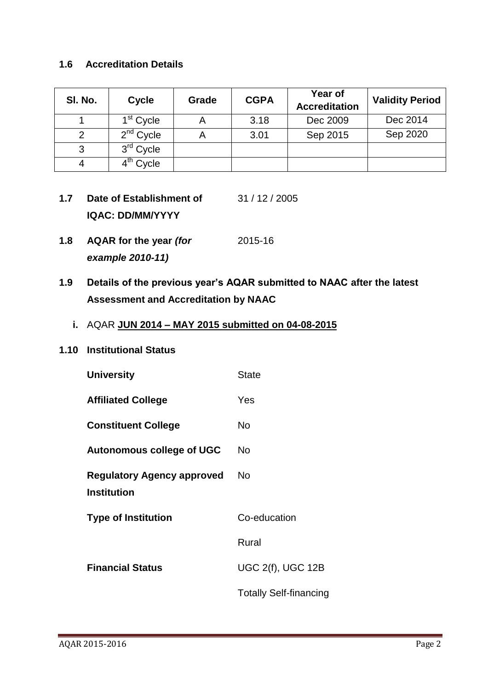## **1.6 Accreditation Details**

| SI. No. | <b>Cycle</b>          | Grade | <b>CGPA</b> | Year of<br><b>Accreditation</b> | <b>Validity Period</b> |
|---------|-----------------------|-------|-------------|---------------------------------|------------------------|
|         | 1 <sup>st</sup> Cycle |       | 3.18        | Dec 2009                        | Dec 2014               |
|         | $2nd$ Cycle           |       | 3.01        | Sep 2015                        | Sep 2020               |
| 3       | 3 <sup>rd</sup> Cycle |       |             |                                 |                        |
|         | 4 <sup>th</sup> Cycle |       |             |                                 |                        |

- **1.7 Date of Establishment of IQAC: DD/MM/YYYY** 31 / 12 / 2005
- **1.8 AQAR for the year** *(for example 2010-11)* 2015-16
- **1.9 Details of the previous year's AQAR submitted to NAAC after the latest Assessment and Accreditation by NAAC**
	- **i.** AQAR **JUN 2014 – MAY 2015 submitted on 04-08-2015**

#### **1.10 Institutional Status**

| <b>University</b>                 | <b>State</b>                  |
|-----------------------------------|-------------------------------|
| <b>Affiliated College</b>         | Yes                           |
| <b>Constituent College</b>        | No                            |
| <b>Autonomous college of UGC</b>  | No                            |
| <b>Regulatory Agency approved</b> | No                            |
| <b>Institution</b>                |                               |
| <b>Type of Institution</b>        | Co-education                  |
|                                   | Rural                         |
| <b>Financial Status</b>           | <b>UGC 2(f), UGC 12B</b>      |
|                                   | <b>Totally Self-financing</b> |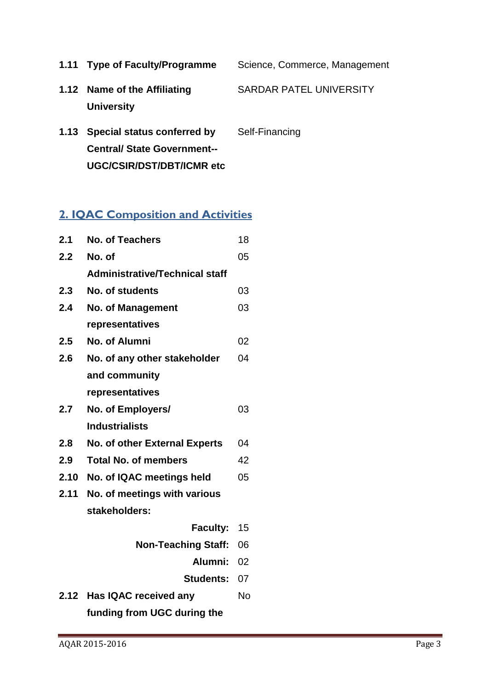**1.11 Type of Faculty/Programme** Science, Commerce, Management

- **1.12 Name of the Affiliating University** SARDAR PATEL UNIVERSITY
- **1.13 Special status conferred by Central/ State Government-- UGC/CSIR/DST/DBT/ICMR etc** Self-Financing

# **2. IQAC Composition and Activities**

| 2.1  | <b>No. of Teachers</b>                | 18        |
|------|---------------------------------------|-----------|
| 2.2  | No. of                                | 05        |
|      | <b>Administrative/Technical staff</b> |           |
| 2.3  | No. of students                       | 03        |
| 2.4  | <b>No. of Management</b>              | 03        |
|      | representatives                       |           |
| 2.5  | No. of Alumni                         | 02        |
| 2.6  | No. of any other stakeholder          | 04        |
|      | and community                         |           |
|      | representatives                       |           |
| 2.7  | No. of Employers/                     | 03        |
|      | <b>Industrialists</b>                 |           |
| 2.8  | No. of other External Experts         | 04        |
| 2.9  | <b>Total No. of members</b>           | 42        |
| 2.10 | No. of IQAC meetings held             | 05        |
| 2.11 | No. of meetings with various          |           |
|      | stakeholders:                         |           |
|      | <b>Faculty:</b>                       | 15        |
|      | <b>Non-Teaching Staff:</b>            | 06        |
|      | Alumni:                               | 02        |
|      | <b>Students:</b>                      | 07        |
| 2.12 | Has IQAC received any                 | <b>No</b> |
|      | funding from UGC during the           |           |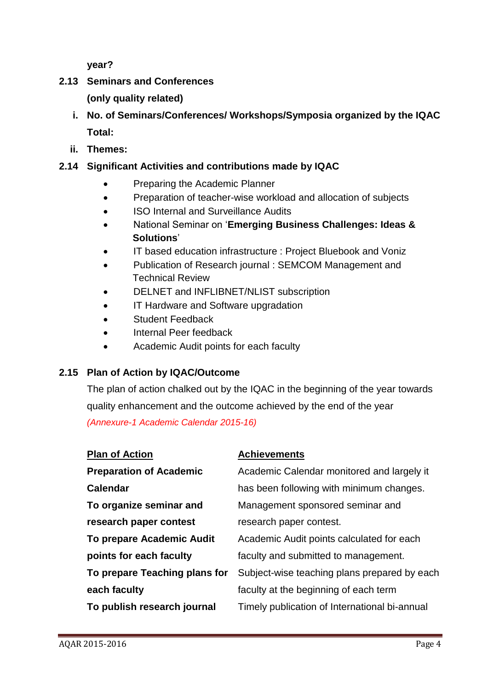**year?**

## **2.13 Seminars and Conferences**

**(only quality related)**

- **i. No. of Seminars/Conferences/ Workshops/Symposia organized by the IQAC Total:**
- **ii. Themes:**

## **2.14 Significant Activities and contributions made by IQAC**

- Preparing the Academic Planner
- Preparation of teacher-wise workload and allocation of subjects
- ISO Internal and Surveillance Audits
- National Seminar on '**Emerging Business Challenges: Ideas & Solutions**'
- IT based education infrastructure : Project Bluebook and Voniz
- Publication of Research journal : SEMCOM Management and Technical Review
- DELNET and INFLIBNET/NLIST subscription
- IT Hardware and Software upgradation
- Student Feedback
- Internal Peer feedback
- Academic Audit points for each faculty

## **2.15 Plan of Action by IQAC/Outcome**

The plan of action chalked out by the IQAC in the beginning of the year towards quality enhancement and the outcome achieved by the end of the year *(Annexure-1 Academic Calendar 2015-16)*

| <b>Plan of Action</b>          | <b>Achievements</b>                           |
|--------------------------------|-----------------------------------------------|
| <b>Preparation of Academic</b> | Academic Calendar monitored and largely it    |
| Calendar                       | has been following with minimum changes.      |
| To organize seminar and        | Management sponsored seminar and              |
| research paper contest         | research paper contest.                       |
| To prepare Academic Audit      | Academic Audit points calculated for each     |
| points for each faculty        | faculty and submitted to management.          |
| To prepare Teaching plans for  | Subject-wise teaching plans prepared by each  |
| each faculty                   | faculty at the beginning of each term         |
| To publish research journal    | Timely publication of International bi-annual |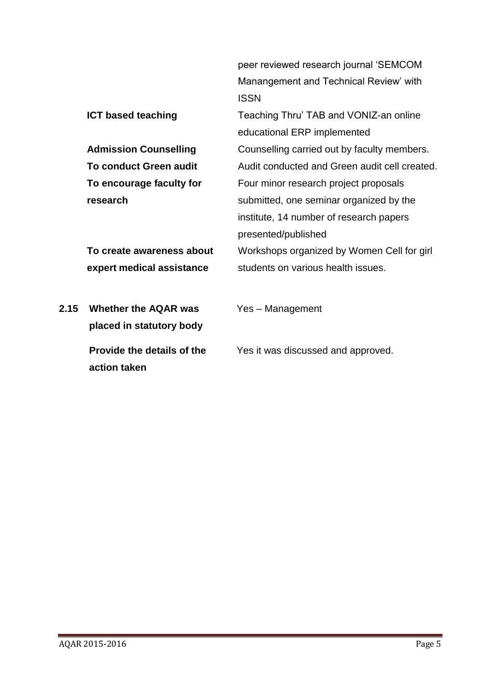|      |                               | peer reviewed research journal 'SEMCOM        |
|------|-------------------------------|-----------------------------------------------|
|      |                               | Manangement and Technical Review' with        |
|      |                               | <b>ISSN</b>                                   |
|      | <b>ICT based teaching</b>     | Teaching Thru' TAB and VONIZ-an online        |
|      |                               | educational ERP implemented                   |
|      | <b>Admission Counselling</b>  | Counselling carried out by faculty members.   |
|      | <b>To conduct Green audit</b> | Audit conducted and Green audit cell created. |
|      | To encourage faculty for      | Four minor research project proposals         |
|      | research                      | submitted, one seminar organized by the       |
|      |                               | institute, 14 number of research papers       |
|      |                               | presented/published                           |
|      | To create awareness about     | Workshops organized by Women Cell for girl    |
|      | expert medical assistance     | students on various health issues.            |
|      |                               |                                               |
| 2.15 | <b>Whether the AQAR was</b>   | Yes - Management                              |
|      | placed in statutory body      |                                               |
|      |                               |                                               |
|      | Provide the details of the    | Yes it was discussed and approved.            |
|      | action taken                  |                                               |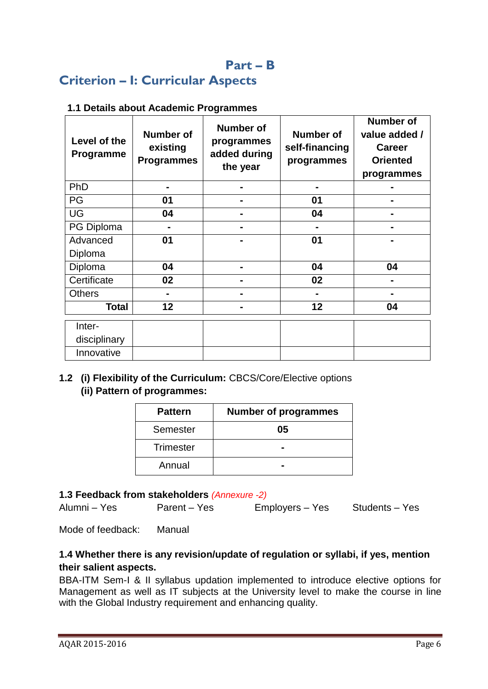## **Part – B**

# **Criterion – I: Curricular Aspects**

### **1.1 Details about Academic Programmes**

| Level of the<br>Programme | <b>Number of</b><br>existing<br><b>Programmes</b> | <b>Number of</b><br>programmes<br>added during<br>the year | <b>Number of</b><br>self-financing<br>programmes | <b>Number of</b><br>value added /<br><b>Career</b><br><b>Oriented</b><br>programmes |
|---------------------------|---------------------------------------------------|------------------------------------------------------------|--------------------------------------------------|-------------------------------------------------------------------------------------|
| PhD                       |                                                   |                                                            |                                                  |                                                                                     |
| PG                        | 01                                                |                                                            | 01                                               |                                                                                     |
| <b>UG</b>                 | 04                                                |                                                            | 04                                               |                                                                                     |
| PG Diploma                | $\blacksquare$                                    |                                                            |                                                  | ۰.                                                                                  |
| Advanced                  | 01                                                | -                                                          | 01                                               |                                                                                     |
| Diploma                   |                                                   |                                                            |                                                  |                                                                                     |
| Diploma                   | 04                                                | -                                                          | 04                                               | 04                                                                                  |
| Certificate               | 02                                                |                                                            | 02                                               |                                                                                     |
| <b>Others</b>             |                                                   |                                                            |                                                  |                                                                                     |
| <b>Total</b>              | 12                                                |                                                            | 12                                               | 04                                                                                  |
| Inter-                    |                                                   |                                                            |                                                  |                                                                                     |
| disciplinary              |                                                   |                                                            |                                                  |                                                                                     |
| Innovative                |                                                   |                                                            |                                                  |                                                                                     |

## **1.2 (i) Flexibility of the Curriculum:** CBCS/Core/Elective options  **(ii) Pattern of programmes:**

| <b>Pattern</b>   | <b>Number of programmes</b> |  |
|------------------|-----------------------------|--|
| Semester         | 05                          |  |
| <b>Trimester</b> |                             |  |
| Annual           |                             |  |

#### **1.3 Feedback from stakeholders** *(Annexure -2)*

Alumni – Yes Parent – Yes Employers – Yes Students – Yes

Mode of feedback: Manual

## **1.4 Whether there is any revision/update of regulation or syllabi, if yes, mention their salient aspects.**

BBA-ITM Sem-I & II syllabus updation implemented to introduce elective options for Management as well as IT subjects at the University level to make the course in line with the Global Industry requirement and enhancing quality.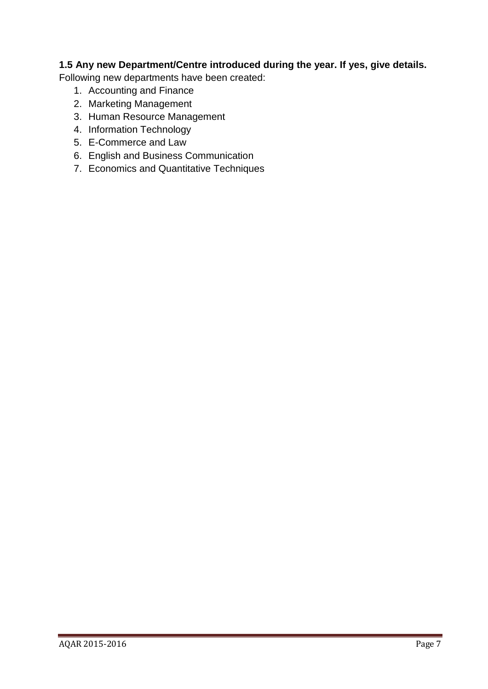## **1.5 Any new Department/Centre introduced during the year. If yes, give details.**

Following new departments have been created:

- 1. Accounting and Finance
- 2. Marketing Management
- 3. Human Resource Management
- 4. Information Technology
- 5. E-Commerce and Law
- 6. English and Business Communication
- 7. Economics and Quantitative Techniques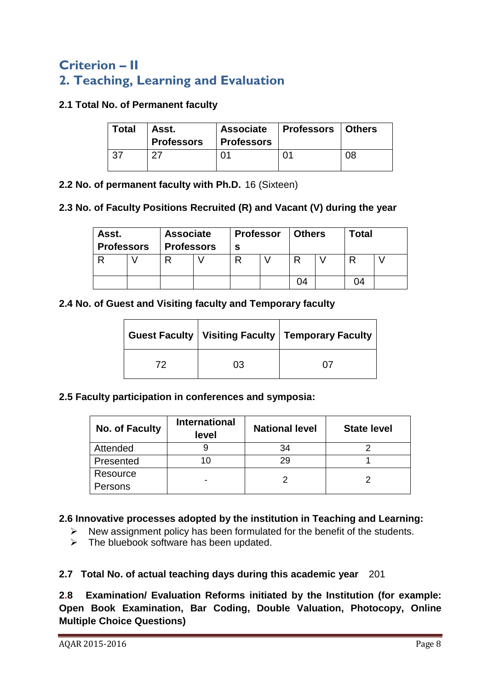# **Criterion – II 2. Teaching, Learning and Evaluation**

### **2.1 Total No. of Permanent faculty**

| <b>Total</b> | Asst.<br><b>Professors</b> | <b>Professors</b> | Associate   Professors   Others |    |
|--------------|----------------------------|-------------------|---------------------------------|----|
| $-37$        | റ−                         |                   |                                 | 08 |

**2.2 No. of permanent faculty with Ph.D.** 16 (Sixteen)

#### **2.3 No. of Faculty Positions Recruited (R) and Vacant (V) during the year**

| Asst.<br><b>Professors</b> | <b>Associate</b><br><b>Professors</b> | <b>Professor</b><br>s | Others | Total |  |
|----------------------------|---------------------------------------|-----------------------|--------|-------|--|
|                            |                                       |                       | D      |       |  |
|                            |                                       |                       | )4     | 74    |  |

#### **2.4 No. of Guest and Visiting faculty and Temporary faculty**

|    |    | Guest Faculty   Visiting Faculty   Temporary Faculty |  |
|----|----|------------------------------------------------------|--|
| 79 | 03 |                                                      |  |

#### **2.5 Faculty participation in conferences and symposia:**

| <b>No. of Faculty</b> | <b>International</b><br>level | <b>National level</b> | <b>State level</b> |  |
|-----------------------|-------------------------------|-----------------------|--------------------|--|
| Attended              |                               | 34                    |                    |  |
| Presented             |                               | 29                    |                    |  |
| Resource              |                               |                       |                    |  |
| Persons               |                               |                       |                    |  |

## **2.6 Innovative processes adopted by the institution in Teaching and Learning:**

- $\triangleright$  New assignment policy has been formulated for the benefit of the students.
- $\triangleright$  The bluebook software has been updated.

## **2.7 Total No. of actual teaching days during this academic year** 201

**2.8 Examination/ Evaluation Reforms initiated by the Institution (for example: Open Book Examination, Bar Coding, Double Valuation, Photocopy, Online Multiple Choice Questions)**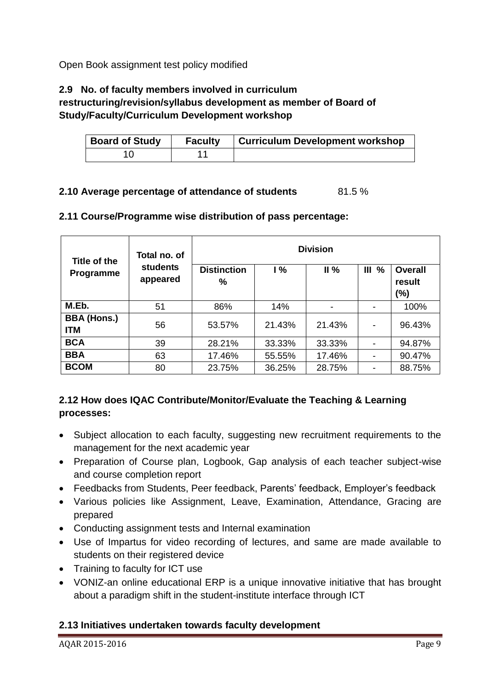Open Book assignment test policy modified

## **2.9 No. of faculty members involved in curriculum**

## **restructuring/revision/syllabus development as member of Board of Study/Faculty/Curriculum Development workshop**

| <b>Board of Study</b> | <b>Faculty</b> | Curriculum Development workshop |
|-----------------------|----------------|---------------------------------|
|                       |                |                                 |

#### **2.10 Average percentage of attendance of students** 81.5 %

| Title of the                     | Total no. of                | <b>Division</b>         |               |        |                   |                                 |
|----------------------------------|-----------------------------|-------------------------|---------------|--------|-------------------|---------------------------------|
| Programme                        | <b>students</b><br>appeared | <b>Distinction</b><br>% | $\frac{9}{6}$ | II%    | III <sub>96</sub> | <b>Overall</b><br>result<br>(%) |
| M.Eb.                            | 51                          | 86%                     | 14%           |        |                   | 100%                            |
| <b>BBA (Hons.)</b><br><b>ITM</b> | 56                          | 53.57%                  | 21.43%        | 21.43% |                   | 96.43%                          |
| <b>BCA</b>                       | 39                          | 28.21%                  | 33.33%        | 33.33% |                   | 94.87%                          |
| <b>BBA</b>                       | 63                          | 17.46%                  | 55.55%        | 17.46% |                   | 90.47%                          |
| <b>BCOM</b>                      | 80                          | 23.75%                  | 36.25%        | 28.75% |                   | 88.75%                          |

#### **2.11 Course/Programme wise distribution of pass percentage:**

## **2.12 How does IQAC Contribute/Monitor/Evaluate the Teaching & Learning processes:**

- Subject allocation to each faculty, suggesting new recruitment requirements to the management for the next academic year
- Preparation of Course plan, Logbook, Gap analysis of each teacher subject-wise and course completion report
- Feedbacks from Students, Peer feedback, Parents' feedback, Employer's feedback
- Various policies like Assignment, Leave, Examination, Attendance, Gracing are prepared
- Conducting assignment tests and Internal examination
- Use of Impartus for video recording of lectures, and same are made available to students on their registered device
- Training to faculty for ICT use
- VONIZ-an online educational ERP is a unique innovative initiative that has brought about a paradigm shift in the student-institute interface through ICT

## **2.13 Initiatives undertaken towards faculty development**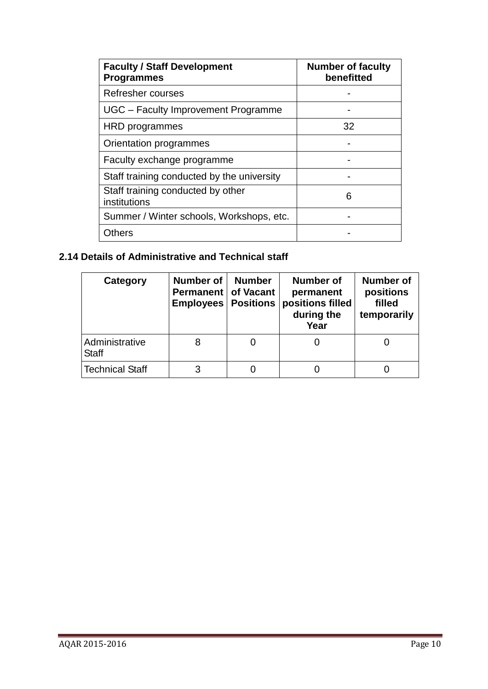| <b>Faculty / Staff Development</b><br><b>Programmes</b> | <b>Number of faculty</b><br>benefitted |
|---------------------------------------------------------|----------------------------------------|
| Refresher courses                                       |                                        |
| UGC - Faculty Improvement Programme                     |                                        |
| HRD programmes                                          | 32                                     |
| Orientation programmes                                  |                                        |
| Faculty exchange programme                              |                                        |
| Staff training conducted by the university              |                                        |
| Staff training conducted by other<br>institutions       | 6                                      |
| Summer / Winter schools, Workshops, etc.                |                                        |
| Others                                                  |                                        |

## **2.14 Details of Administrative and Technical staff**

| Category                       | <b>Number of</b><br><b>Permanent   of Vacant</b><br><b>Employees</b> | <b>Number</b><br><b>Positions</b> | <b>Number of</b><br>permanent<br>positions filled<br>during the<br>Year | <b>Number of</b><br>positions<br>filled<br>temporarily |
|--------------------------------|----------------------------------------------------------------------|-----------------------------------|-------------------------------------------------------------------------|--------------------------------------------------------|
| Administrative<br><b>Staff</b> |                                                                      |                                   |                                                                         |                                                        |
| Technical Staff                |                                                                      |                                   |                                                                         |                                                        |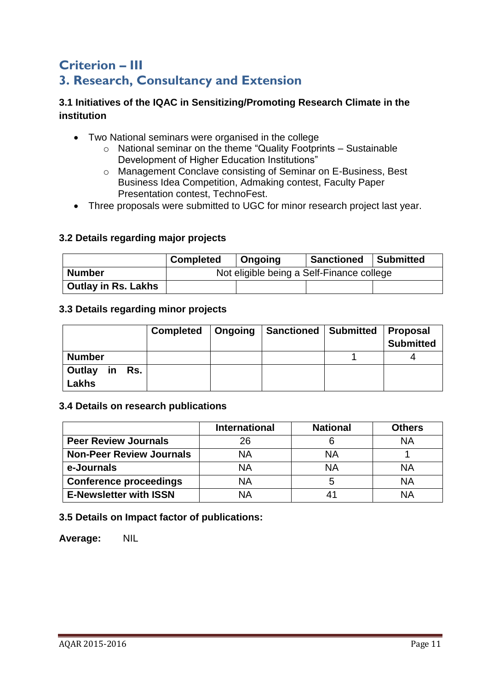## **Criterion – III 3. Research, Consultancy and Extension**

## **3.1 Initiatives of the IQAC in Sensitizing/Promoting Research Climate in the institution**

- Two National seminars were organised in the college
	- o National seminar on the theme "Quality Footprints Sustainable Development of Higher Education Institutions"
	- o Management Conclave consisting of Seminar on E-Business, Best Business Idea Competition, Admaking contest, Faculty Paper Presentation contest, TechnoFest.
- Three proposals were submitted to UGC for minor research project last year.

#### **3.2 Details regarding major projects**

|                     | <b>Completed</b>                          | Ongoing | <b>Sanctioned</b> | Submitted |  |
|---------------------|-------------------------------------------|---------|-------------------|-----------|--|
| <b>Number</b>       | Not eligible being a Self-Finance college |         |                   |           |  |
| Outlay in Rs. Lakhs |                                           |         |                   |           |  |

#### **3.3 Details regarding minor projects**

|                           | Completed   Ongoing | Sanctioned   Submitted | Proposal<br><b>Submitted</b> |
|---------------------------|---------------------|------------------------|------------------------------|
| <b>Number</b>             |                     |                        |                              |
| in Rs.<br>Outlay<br>Lakhs |                     |                        |                              |

#### **3.4 Details on research publications**

|                                 | <b>International</b> | <b>National</b> | <b>Others</b> |
|---------------------------------|----------------------|-----------------|---------------|
| <b>Peer Review Journals</b>     | 26                   |                 | ΝA            |
| <b>Non-Peer Review Journals</b> | NA                   | <b>NA</b>       |               |
| e-Journals                      | ΝA                   | <b>NA</b>       | NΑ            |
| <b>Conference proceedings</b>   | ΝA                   |                 | ΝA            |
| <b>E-Newsletter with ISSN</b>   | NΑ                   |                 | NΑ            |

#### **3.5 Details on Impact factor of publications:**

**Average:** NIL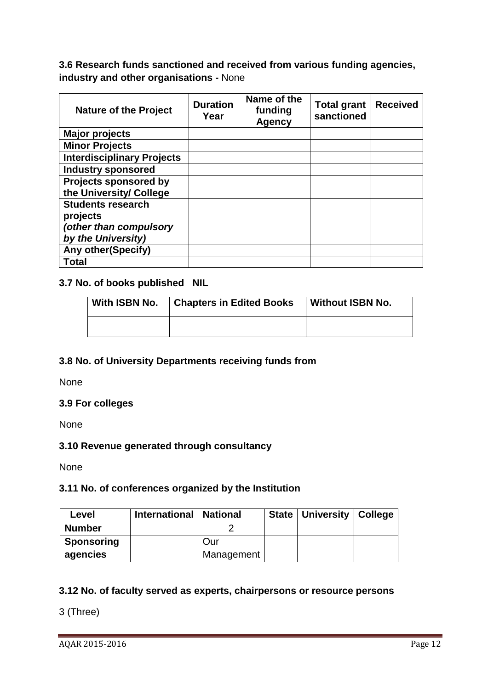## **3.6 Research funds sanctioned and received from various funding agencies, industry and other organisations -** None

| <b>Nature of the Project</b>                                                         | <b>Duration</b><br>Year | Name of the<br>funding<br><b>Agency</b> | <b>Total grant</b><br>sanctioned | <b>Received</b> |
|--------------------------------------------------------------------------------------|-------------------------|-----------------------------------------|----------------------------------|-----------------|
| <b>Major projects</b>                                                                |                         |                                         |                                  |                 |
| <b>Minor Projects</b>                                                                |                         |                                         |                                  |                 |
| <b>Interdisciplinary Projects</b>                                                    |                         |                                         |                                  |                 |
| <b>Industry sponsored</b>                                                            |                         |                                         |                                  |                 |
| <b>Projects sponsored by</b><br>the University/ College                              |                         |                                         |                                  |                 |
| <b>Students research</b><br>projects<br>(other than compulsory<br>by the University) |                         |                                         |                                  |                 |
| <b>Any other (Specify)</b>                                                           |                         |                                         |                                  |                 |
| <b>Total</b>                                                                         |                         |                                         |                                  |                 |

#### **3.7 No. of books published NIL**

| With ISBN No. | <b>Chapters in Edited Books</b> | <b>Without ISBN No.</b> |
|---------------|---------------------------------|-------------------------|
|               |                                 |                         |

#### **3.8 No. of University Departments receiving funds from**

None

#### **3.9 For colleges**

None

#### **3.10 Revenue generated through consultancy**

None

#### **3.11 No. of conferences organized by the Institution**

| Level         | International   National |            | State   University   College |  |
|---------------|--------------------------|------------|------------------------------|--|
| <b>Number</b> |                          |            |                              |  |
| Sponsoring    |                          | Our        |                              |  |
| agencies      |                          | Management |                              |  |

## **3.12 No. of faculty served as experts, chairpersons or resource persons**

3 (Three)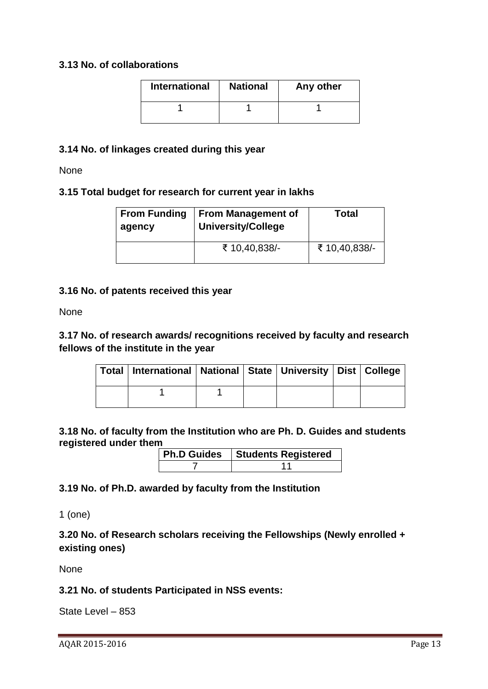#### **3.13 No. of collaborations**

| <b>International</b> | <b>National</b> | Any other |
|----------------------|-----------------|-----------|
|                      |                 |           |

#### **3.14 No. of linkages created during this year**

None

#### **3.15 Total budget for research for current year in lakhs**

| <b>From Funding</b><br>agency | <b>From Management of</b><br><b>University/College</b> | <b>Total</b>  |
|-------------------------------|--------------------------------------------------------|---------------|
|                               | ₹ 10,40,838/-                                          | ₹ 10,40,838/- |

#### **3.16 No. of patents received this year**

None

## **3.17 No. of research awards/ recognitions received by faculty and research fellows of the institute in the year**

|  | Total   International   National   State   University   Dist   College |  |  |  |
|--|------------------------------------------------------------------------|--|--|--|
|  |                                                                        |  |  |  |

**3.18 No. of faculty from the Institution who are Ph. D. Guides and students registered under them**

| <b>Ph.D Guides   Students Registered</b> |
|------------------------------------------|
|                                          |

## **3.19 No. of Ph.D. awarded by faculty from the Institution**

1 (one)

**3.20 No. of Research scholars receiving the Fellowships (Newly enrolled + existing ones)**

None

## **3.21 No. of students Participated in NSS events:**

State Level – 853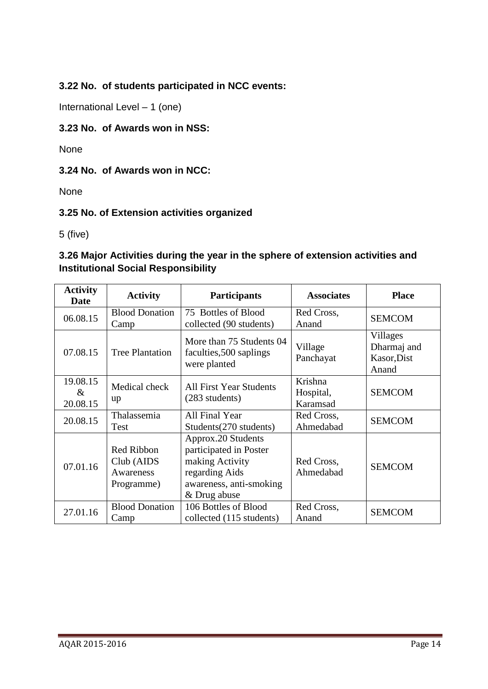**3.22 No. of students participated in NCC events:** 

International Level – 1 (one)

## **3.23 No. of Awards won in NSS:**

None

## **3.24 No. of Awards won in NCC:**

None

## **3.25 No. of Extension activities organized**

5 (five)

## **3.26 Major Activities during the year in the sphere of extension activities and Institutional Social Responsibility**

| <b>Activity</b><br>Date                                           | <b>Activity</b>                                                                                                                                                                       | <b>Participants</b>                                                 | <b>Associates</b>                | <b>Place</b>                                    |
|-------------------------------------------------------------------|---------------------------------------------------------------------------------------------------------------------------------------------------------------------------------------|---------------------------------------------------------------------|----------------------------------|-------------------------------------------------|
| 06.08.15                                                          | <b>Blood Donation</b><br>Camp                                                                                                                                                         | 75 Bottles of Blood<br>collected (90 students)                      | Red Cross,<br>Anand              | <b>SEMCOM</b>                                   |
| 07.08.15                                                          | <b>Tree Plantation</b>                                                                                                                                                                | More than 75 Students 04<br>faculties, 500 saplings<br>were planted | Village<br>Panchayat             | Villages<br>Dharmaj and<br>Kasor, Dist<br>Anand |
| 19.08.15<br>$\&$<br>20.08.15                                      | Medical check<br>up                                                                                                                                                                   | <b>All First Year Students</b><br>(283 students)                    | Krishna<br>Hospital,<br>Karamsad | <b>SEMCOM</b>                                   |
| 20.08.15                                                          | Thalassemia<br>All Final Year<br>Students(270 students)<br>Test                                                                                                                       |                                                                     | Red Cross,<br>Ahmedabad          | <b>SEMCOM</b>                                   |
| 07.01.16                                                          | Approx.20 Students<br>participated in Poster<br>Red Ribbon<br>making Activity<br>$Club$ (AIDS<br>regarding Aids<br>Awareness<br>awareness, anti-smoking<br>Programme)<br>& Drug abuse |                                                                     | Red Cross,<br>Ahmedabad          | <b>SEMCOM</b>                                   |
| <b>Blood Donation</b><br>106 Bottles of Blood<br>27.01.16<br>Camp |                                                                                                                                                                                       | collected (115 students)                                            | Red Cross,<br>Anand              | <b>SEMCOM</b>                                   |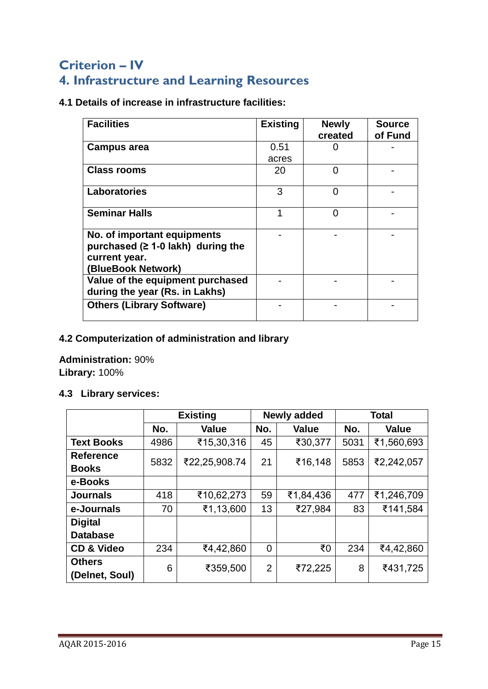# **Criterion – IV 4. Infrastructure and Learning Resources**

**4.1 Details of increase in infrastructure facilities:**

| <b>Facilities</b>                                                                                             | <b>Existing</b> | <b>Newly</b><br>created | <b>Source</b><br>of Fund |
|---------------------------------------------------------------------------------------------------------------|-----------------|-------------------------|--------------------------|
| <b>Campus area</b>                                                                                            | 0.51            |                         |                          |
|                                                                                                               | acres           |                         |                          |
| <b>Class rooms</b>                                                                                            | 20              | ∩                       |                          |
| <b>Laboratories</b>                                                                                           | 3               | ∩                       |                          |
| <b>Seminar Halls</b>                                                                                          |                 | ∩                       |                          |
| No. of important equipments<br>purchased ( $\geq$ 1-0 lakh) during the<br>current year.<br>(BlueBook Network) |                 |                         |                          |
| Value of the equipment purchased<br>during the year (Rs. in Lakhs)                                            |                 |                         |                          |
| <b>Others (Library Software)</b>                                                                              |                 |                         |                          |

## **4.2 Computerization of administration and library**

**Administration:** 90% **Library:** 100%

## **4.3 Library services:**

|                                 |               | <b>Existing</b> |                | <b>Newly added</b> |      | <b>Total</b> |  |
|---------------------------------|---------------|-----------------|----------------|--------------------|------|--------------|--|
|                                 | No.           | <b>Value</b>    | No.            | <b>Value</b>       | No.  | <b>Value</b> |  |
| <b>Text Books</b>               | 4986          | ₹15,30,316      | 45             | ₹30,377            | 5031 | ₹1,560,693   |  |
| <b>Reference</b>                | 5832          | ₹22,25,908.74   | 21             | ₹16,148            | 5853 | ₹2,242,057   |  |
| <b>Books</b>                    |               |                 |                |                    |      |              |  |
| e-Books                         |               |                 |                |                    |      |              |  |
| <b>Journals</b>                 | 418           | ₹10,62,273      | 59             | ₹1,84,436          | 477  | ₹1,246,709   |  |
| e-Journals                      | 70            | ₹1,13,600       | 13             | ₹27,984            | 83   | ₹141,584     |  |
| <b>Digital</b>                  |               |                 |                |                    |      |              |  |
| <b>Database</b>                 |               |                 |                |                    |      |              |  |
| <b>CD &amp; Video</b>           | 234           | ₹4,42,860       | 0              | ₹0                 | 234  | ₹4,42,860    |  |
| <b>Others</b><br>(Delnet, Soul) | 6<br>₹359,500 |                 | $\overline{2}$ | ₹72,225            | 8    | ₹431,725     |  |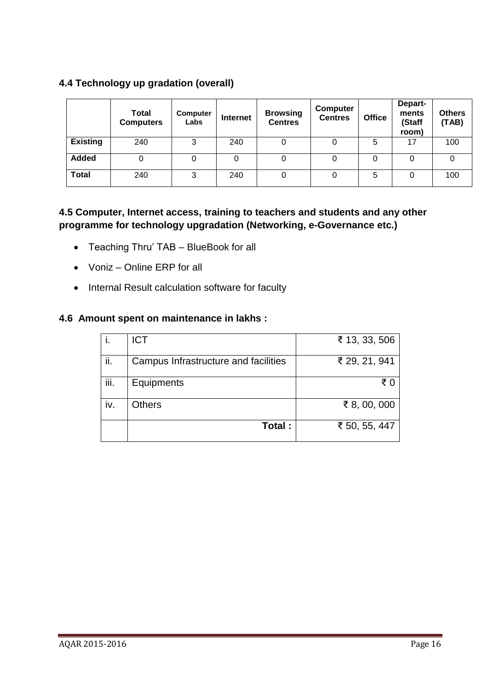## **4.4 Technology up gradation (overall)**

|                 | <b>Total</b><br><b>Computers</b> | Computer<br>Labs | <b>Internet</b> | <b>Browsing</b><br><b>Centres</b> | <b>Computer</b><br><b>Centres</b> | <b>Office</b> | Depart-<br>ments<br>(Staff<br>room) | <b>Others</b><br>(TAB) |
|-----------------|----------------------------------|------------------|-----------------|-----------------------------------|-----------------------------------|---------------|-------------------------------------|------------------------|
| <b>Existing</b> | 240                              | 3                | 240             | 0                                 |                                   | 5             | 17                                  | 100                    |
| <b>Added</b>    | 0                                |                  | 0               | O                                 |                                   |               |                                     |                        |
| <b>Total</b>    | 240                              | 3                | 240             | O                                 |                                   | 5             |                                     | 100                    |

## **4.5 Computer, Internet access, training to teachers and students and any other programme for technology upgradation (Networking, e-Governance etc.)**

- Teaching Thru' TAB BlueBook for all
- Voniz Online ERP for all
- Internal Result calculation software for faculty

#### **4.6 Amount spent on maintenance in lakhs :**

|      | <b>ICT</b>                           | ₹ 13, 33, 506 |
|------|--------------------------------------|---------------|
| ii.  | Campus Infrastructure and facilities | ₹ 29, 21, 941 |
| iii. | Equipments                           | ₹∩            |
| iv.  | Others                               | ₹ 8, 00, 000  |
|      | Total:                               | ₹ 50, 55, 447 |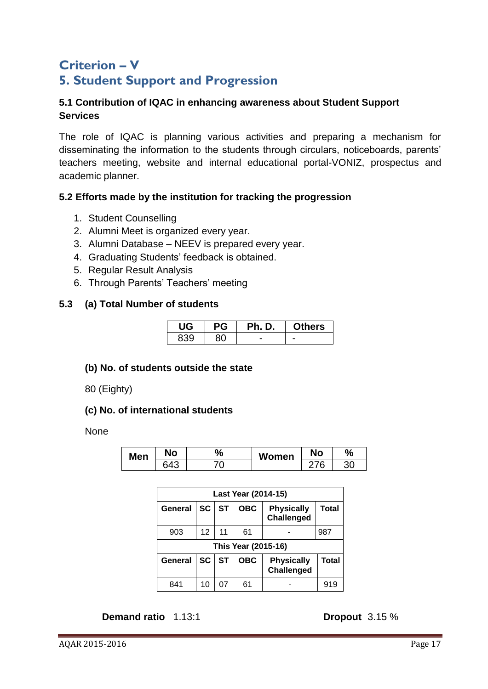# **Criterion – V 5. Student Support and Progression**

### **5.1 Contribution of IQAC in enhancing awareness about Student Support Services**

The role of IQAC is planning various activities and preparing a mechanism for disseminating the information to the students through circulars, noticeboards, parents' teachers meeting, website and internal educational portal-VONIZ, prospectus and academic planner.

## **5.2 Efforts made by the institution for tracking the progression**

- 1. Student Counselling
- 2. Alumni Meet is organized every year.
- 3. Alumni Database NEEV is prepared every year.
- 4. Graduating Students' feedback is obtained.
- 5. Regular Result Analysis
- 6. Through Parents' Teachers' meeting

#### **5.3 (a) Total Number of students**

|     | рG | <b>Ph. D.</b> | <b>Others</b> |
|-----|----|---------------|---------------|
| 830 |    |               |               |

#### **(b) No. of students outside the state**

80 (Eighty)

#### **(c) No. of international students**

None

| <b>Men</b> | No         | 7ο | Women | <b>No</b> | $\%$ |
|------------|------------|----|-------|-----------|------|
|            | $64^\circ$ | ◡  |       | h         | 30   |

| Last Year (2014-15) |                     |           |            |                                        |              |  |  |  |
|---------------------|---------------------|-----------|------------|----------------------------------------|--------------|--|--|--|
| General             | SC <sub>1</sub>     | <b>ST</b> | <b>OBC</b> | <b>Physically</b><br><b>Challenged</b> | <b>Total</b> |  |  |  |
| 903                 | 12 <sup>2</sup>     | 11        | 61         |                                        | 987          |  |  |  |
|                     | This Year (2015-16) |           |            |                                        |              |  |  |  |
| General             | SC                  | <b>ST</b> | <b>OBC</b> | <b>Physically</b><br><b>Challenged</b> | <b>Total</b> |  |  |  |
| 841                 | 10                  |           | 61         |                                        | 919          |  |  |  |

## **Demand ratio** 1.13:1 **Dropout** 3.15 %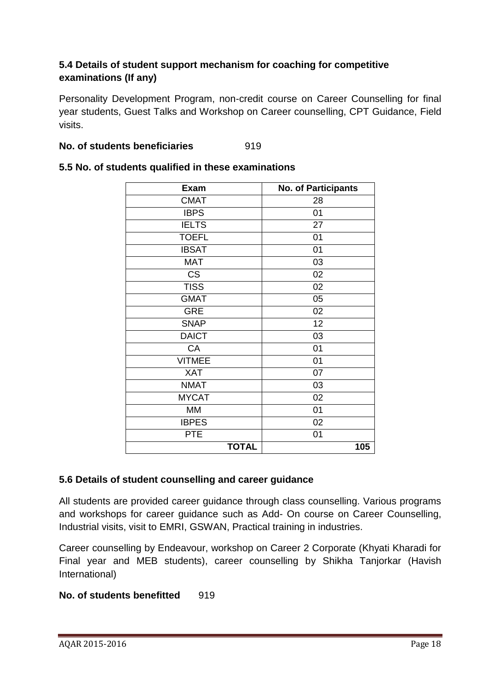## **5.4 Details of student support mechanism for coaching for competitive examinations (If any)**

Personality Development Program, non-credit course on Career Counselling for final year students, Guest Talks and Workshop on Career counselling, CPT Guidance, Field visits.

#### **No. of students beneficiaries** 919

| <b>Exam</b>   | <b>No. of Participants</b> |
|---------------|----------------------------|
| <b>CMAT</b>   | 28                         |
| <b>IBPS</b>   | 01                         |
| <b>IELTS</b>  | 27                         |
| <b>TOEFL</b>  | 01                         |
| <b>IBSAT</b>  | 01                         |
| <b>MAT</b>    | 03                         |
| <b>CS</b>     | 02                         |
| <b>TISS</b>   | 02                         |
| <b>GMAT</b>   | 05                         |
| <b>GRE</b>    | 02                         |
| <b>SNAP</b>   | 12                         |
| <b>DAICT</b>  | 03                         |
| CA            | 01                         |
| <b>VITMEE</b> | 01                         |
| <b>XAT</b>    | 07                         |
| <b>NMAT</b>   | 03                         |
| <b>MYCAT</b>  | 02                         |
| <b>MM</b>     | 01                         |
| <b>IBPES</b>  | 02                         |
| <b>PTE</b>    | 01                         |
| <b>TOTAL</b>  | 105                        |

#### **5.5 No. of students qualified in these examinations**

#### **5.6 Details of student counselling and career guidance**

All students are provided career guidance through class counselling. Various programs and workshops for career guidance such as Add- On course on Career Counselling, Industrial visits, visit to EMRI, GSWAN, Practical training in industries.

Career counselling by Endeavour, workshop on Career 2 Corporate (Khyati Kharadi for Final year and MEB students), career counselling by Shikha Tanjorkar (Havish International)

## **No. of students benefitted** 919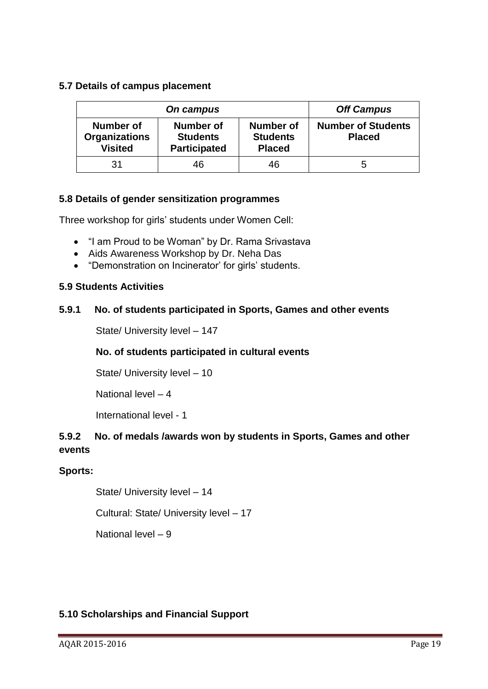### **5.7 Details of campus placement**

|                                                     | <b>Off Campus</b>                                   |                                               |                                            |
|-----------------------------------------------------|-----------------------------------------------------|-----------------------------------------------|--------------------------------------------|
| Number of<br><b>Organizations</b><br><b>Visited</b> | Number of<br><b>Students</b><br><b>Participated</b> | Number of<br><b>Students</b><br><b>Placed</b> | <b>Number of Students</b><br><b>Placed</b> |
| 31                                                  | 46                                                  | 46                                            | b                                          |

#### **5.8 Details of gender sensitization programmes**

Three workshop for girls' students under Women Cell:

- "I am Proud to be Woman" by Dr. Rama Srivastava
- Aids Awareness Workshop by Dr. Neha Das
- "Demonstration on Incinerator' for girls' students.

#### **5.9 Students Activities**

#### **5.9.1 No. of students participated in Sports, Games and other events**

State/ University level – 147

## **No. of students participated in cultural events**

State/ University level – 10

National level – 4

International level - 1

## **5.9.2 No. of medals /awards won by students in Sports, Games and other events**

## **Sports:**

State/ University level – 14

Cultural: State/ University level – 17

National level – 9

## **5.10 Scholarships and Financial Support**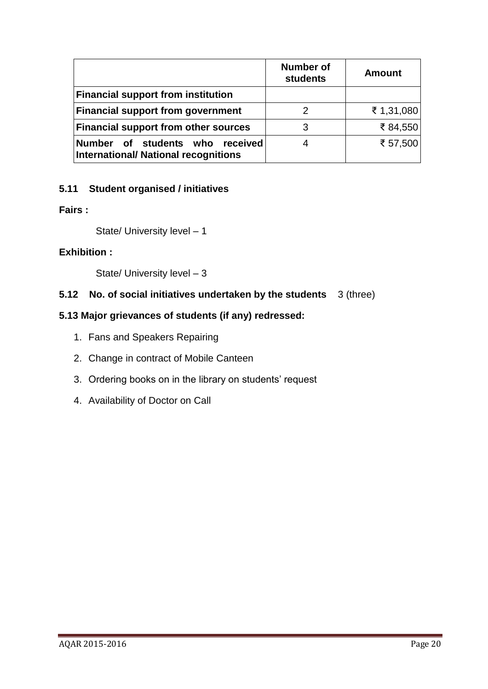|                                                                                   | Number of<br>students | <b>Amount</b> |
|-----------------------------------------------------------------------------------|-----------------------|---------------|
| <b>Financial support from institution</b>                                         |                       |               |
| <b>Financial support from government</b>                                          |                       | ₹ 1,31,080    |
| <b>Financial support from other sources</b>                                       | 3                     | ₹84,550       |
| Number of students who<br>received<br><b>International/ National recognitions</b> |                       | ₹ 57,500      |

## **5.11 Student organised / initiatives**

### **Fairs :**

State/ University level – 1

#### **Exhibition :**

State/ University level – 3

## **5.12 No. of social initiatives undertaken by the students** 3 (three)

## **5.13 Major grievances of students (if any) redressed:**

- 1. Fans and Speakers Repairing
- 2. Change in contract of Mobile Canteen
- 3. Ordering books on in the library on students' request
- 4. Availability of Doctor on Call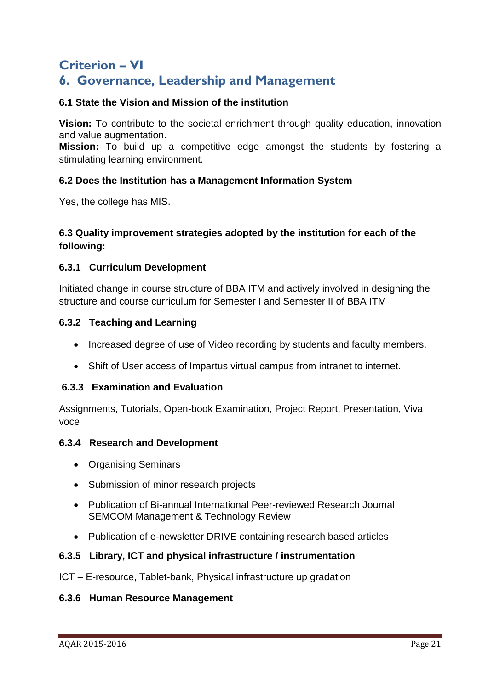## **Criterion – VI 6. Governance, Leadership and Management**

### **6.1 State the Vision and Mission of the institution**

**Vision:** To contribute to the societal enrichment through quality education, innovation and value augmentation.

**Mission:** To build up a competitive edge amongst the students by fostering a stimulating learning environment.

#### **6.2 Does the Institution has a Management Information System**

Yes, the college has MIS.

## **6.3 Quality improvement strategies adopted by the institution for each of the following:**

#### **6.3.1 Curriculum Development**

Initiated change in course structure of BBA ITM and actively involved in designing the structure and course curriculum for Semester I and Semester II of BBA ITM

#### **6.3.2 Teaching and Learning**

- Increased degree of use of Video recording by students and faculty members.
- Shift of User access of Impartus virtual campus from intranet to internet.

#### **6.3.3 Examination and Evaluation**

Assignments, Tutorials, Open-book Examination, Project Report, Presentation, Viva voce

#### **6.3.4 Research and Development**

- Organising Seminars
- Submission of minor research projects
- Publication of Bi-annual International Peer-reviewed Research Journal SEMCOM Management & Technology Review
- Publication of e-newsletter DRIVE containing research based articles

#### **6.3.5 Library, ICT and physical infrastructure / instrumentation**

ICT – E-resource, Tablet-bank, Physical infrastructure up gradation

#### **6.3.6 Human Resource Management**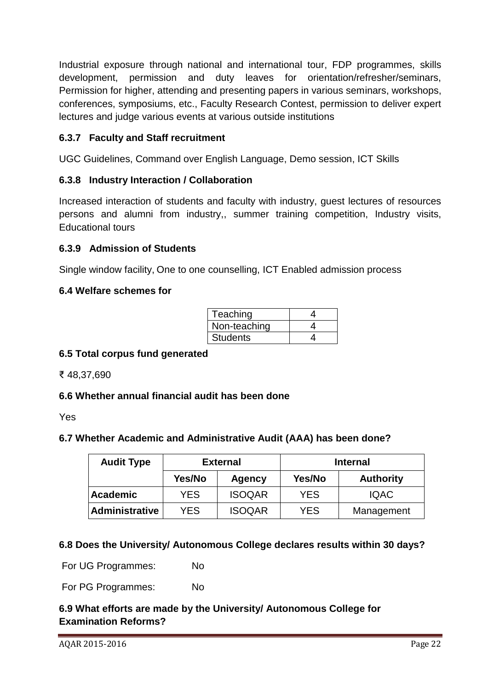Industrial exposure through national and international tour, FDP programmes, skills development, permission and duty leaves for orientation/refresher/seminars, Permission for higher, attending and presenting papers in various seminars, workshops, conferences, symposiums, etc., Faculty Research Contest, permission to deliver expert lectures and judge various events at various outside institutions

## **6.3.7 Faculty and Staff recruitment**

UGC Guidelines, Command over English Language, Demo session, ICT Skills

#### **6.3.8 Industry Interaction / Collaboration**

Increased interaction of students and faculty with industry, guest lectures of resources persons and alumni from industry,, summer training competition, Industry visits, Educational tours

#### **6.3.9 Admission of Students**

Single window facility, One to one counselling, ICT Enabled admission process

#### **6.4 Welfare schemes for**

| Teaching        |  |
|-----------------|--|
| Non-teaching    |  |
| <b>Students</b> |  |

#### **6.5 Total corpus fund generated**

₹ 48,37,690

## **6.6 Whether annual financial audit has been done**

Yes

#### **6.7 Whether Academic and Administrative Audit (AAA) has been done?**

| <b>Audit Type</b> | <b>External</b> |               | <b>Internal</b> |                  |
|-------------------|-----------------|---------------|-----------------|------------------|
|                   | Yes/No          | Agency        | Yes/No          | <b>Authority</b> |
| Academic          | <b>YES</b>      | <b>ISOQAR</b> | <b>YES</b>      | <b>IQAC</b>      |
| Administrative    | <b>YES</b>      | <b>ISOQAR</b> | YES             | Management       |

#### **6.8 Does the University/ Autonomous College declares results within 30 days?**

For UG Programmes: No

For PG Programmes: No

## **6.9 What efforts are made by the University/ Autonomous College for Examination Reforms?**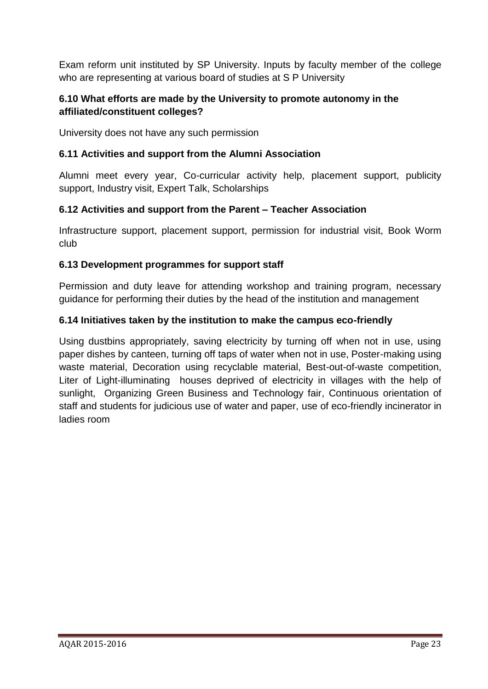Exam reform unit instituted by SP University. Inputs by faculty member of the college who are representing at various board of studies at S P University

## **6.10 What efforts are made by the University to promote autonomy in the affiliated/constituent colleges?**

University does not have any such permission

## **6.11 Activities and support from the Alumni Association**

Alumni meet every year, Co-curricular activity help, placement support, publicity support, Industry visit, Expert Talk, Scholarships

## **6.12 Activities and support from the Parent – Teacher Association**

Infrastructure support, placement support, permission for industrial visit, Book Worm club

## **6.13 Development programmes for support staff**

Permission and duty leave for attending workshop and training program, necessary guidance for performing their duties by the head of the institution and management

## **6.14 Initiatives taken by the institution to make the campus eco-friendly**

Using dustbins appropriately, saving electricity by turning off when not in use, using paper dishes by canteen, turning off taps of water when not in use, Poster-making using waste material, Decoration using recyclable material, Best-out-of-waste competition, Liter of Light-illuminating houses deprived of electricity in villages with the help of sunlight, Organizing Green Business and Technology fair, Continuous orientation of staff and students for judicious use of water and paper, use of eco-friendly incinerator in ladies room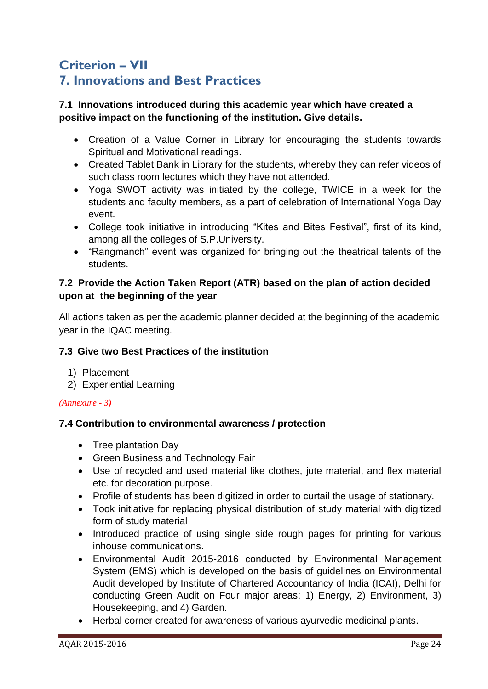# **Criterion – VII 7. Innovations and Best Practices**

## **7.1 Innovations introduced during this academic year which have created a positive impact on the functioning of the institution. Give details.**

- Creation of a Value Corner in Library for encouraging the students towards Spiritual and Motivational readings.
- Created Tablet Bank in Library for the students, whereby they can refer videos of such class room lectures which they have not attended.
- Yoga SWOT activity was initiated by the college, TWICE in a week for the students and faculty members, as a part of celebration of International Yoga Day event.
- College took initiative in introducing "Kites and Bites Festival", first of its kind, among all the colleges of S.P.University.
- "Rangmanch" event was organized for bringing out the theatrical talents of the students.

## **7.2 Provide the Action Taken Report (ATR) based on the plan of action decided upon at the beginning of the year**

All actions taken as per the academic planner decided at the beginning of the academic year in the IQAC meeting.

## **7.3 Give two Best Practices of the institution**

- 1) Placement
- 2) Experiential Learning

## *(Annexure - 3)*

## **7.4 Contribution to environmental awareness / protection**

- Tree plantation Dav
- Green Business and Technology Fair
- Use of recycled and used material like clothes, jute material, and flex material etc. for decoration purpose.
- Profile of students has been digitized in order to curtail the usage of stationary.
- Took initiative for replacing physical distribution of study material with digitized form of study material
- Introduced practice of using single side rough pages for printing for various inhouse communications.
- Environmental Audit 2015-2016 conducted by Environmental Management System (EMS) which is developed on the basis of guidelines on Environmental Audit developed by Institute of Chartered Accountancy of India (ICAI), Delhi for conducting Green Audit on Four major areas: 1) Energy, 2) Environment, 3) Housekeeping, and 4) Garden.
- Herbal corner created for awareness of various ayurvedic medicinal plants.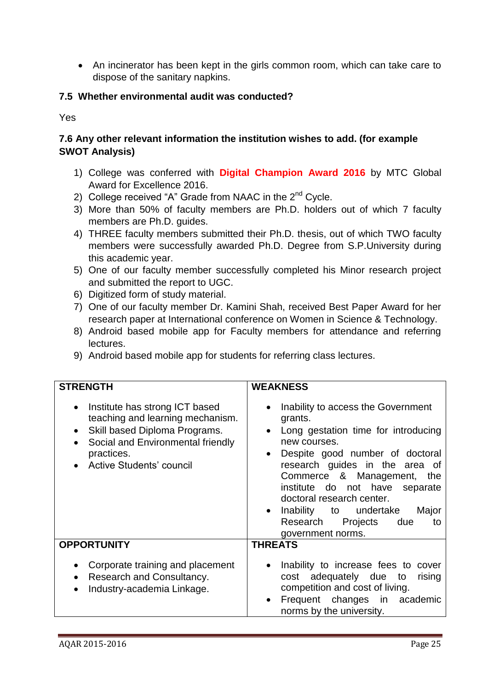• An incinerator has been kept in the girls common room, which can take care to dispose of the sanitary napkins.

## **7.5 Whether environmental audit was conducted?**

Yes

## **7.6 Any other relevant information the institution wishes to add. (for example SWOT Analysis)**

- 1) College was conferred with **Digital Champion Award 2016** by MTC Global Award for Excellence 2016.
- 2) College received "A" Grade from NAAC in the  $2<sup>nd</sup>$  Cycle.
- 3) More than 50% of faculty members are Ph.D. holders out of which 7 faculty members are Ph.D. guides.
- 4) THREE faculty members submitted their Ph.D. thesis, out of which TWO faculty members were successfully awarded Ph.D. Degree from S.P.University during this academic year.
- 5) One of our faculty member successfully completed his Minor research project and submitted the report to UGC.
- 6) Digitized form of study material.
- 7) One of our faculty member Dr. Kamini Shah, received Best Paper Award for her research paper at International conference on Women in Science & Technology.
- 8) Android based mobile app for Faculty members for attendance and referring lectures.
- 9) Android based mobile app for students for referring class lectures.

| <b>STRENGTH</b>                                                                                                                                                                    | <b>WEAKNESS</b>                                                                                                                                                                                                                                                                                                                                                                         |
|------------------------------------------------------------------------------------------------------------------------------------------------------------------------------------|-----------------------------------------------------------------------------------------------------------------------------------------------------------------------------------------------------------------------------------------------------------------------------------------------------------------------------------------------------------------------------------------|
| Institute has strong ICT based<br>teaching and learning mechanism.<br>Skill based Diploma Programs.<br>Social and Environmental friendly<br>practices.<br>Active Students' council | Inability to access the Government<br>$\bullet$<br>grants.<br>Long gestation time for introducing<br>new courses.<br>Despite good number of doctoral<br>$\bullet$<br>research guides in the area of<br>Commerce & Management, the<br>institute do not have separate<br>doctoral research center.<br>Inability to undertake<br>Major<br>Research Projects due<br>to<br>government norms. |
| <b>OPPORTUNITY</b>                                                                                                                                                                 | <b>THREATS</b>                                                                                                                                                                                                                                                                                                                                                                          |
| Corporate training and placement<br>Research and Consultancy.<br>Industry-academia Linkage.<br>$\bullet$                                                                           | Inability to increase fees to cover<br>adequately due to<br>rising<br>cost<br>competition and cost of living.<br>Frequent changes in academic<br>norms by the university.                                                                                                                                                                                                               |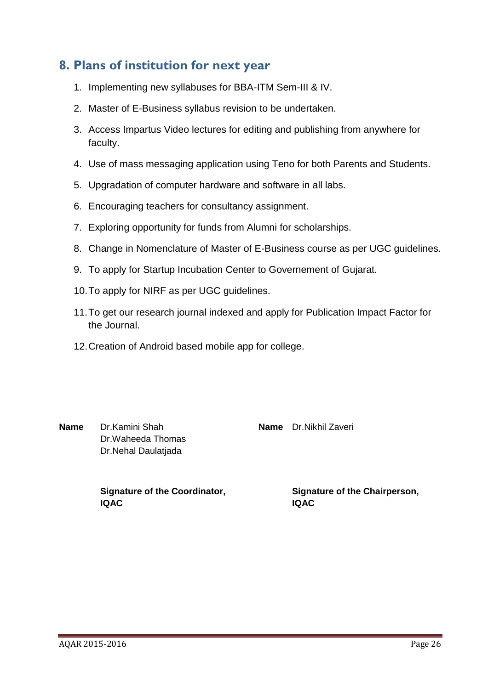# **8. Plans of institution for next year**

- 1. Implementing new syllabuses for BBA-ITM Sem-III & IV.
- 2. Master of E-Business syllabus revision to be undertaken.
- 3. Access Impartus Video lectures for editing and publishing from anywhere for faculty.
- 4. Use of mass messaging application using Teno for both Parents and Students.
- 5. Upgradation of computer hardware and software in all labs.
- 6. Encouraging teachers for consultancy assignment.
- 7. Exploring opportunity for funds from Alumni for scholarships.
- 8. Change in Nomenclature of Master of E-Business course as per UGC guidelines.
- 9. To apply for Startup Incubation Center to Governement of Gujarat.
- 10.To apply for NIRF as per UGC guidelines.
- 11.To get our research journal indexed and apply for Publication Impact Factor for the Journal.
- 12.Creation of Android based mobile app for college.

**Name** Dr.Kamini Shah Dr.Waheeda Thomas Dr.Nehal Daulatjada

**Name** Dr.Nikhil Zaveri

**Signature of the Coordinator, IQAC**

**Signature of the Chairperson, IQAC**